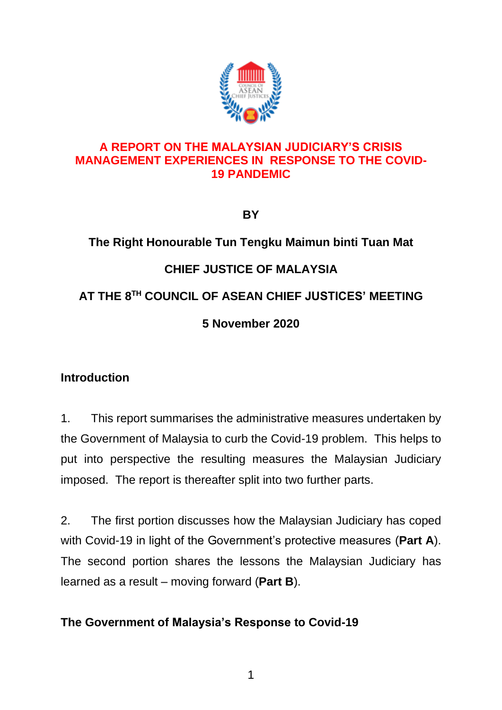

## **A REPORT ON THE MALAYSIAN JUDICIARY'S CRISIS MANAGEMENT EXPERIENCES IN RESPONSE TO THE COVID-19 PANDEMIC**

**BY**

# **The Right Honourable Tun Tengku Maimun binti Tuan Mat CHIEF JUSTICE OF MALAYSIA AT THE 8 TH COUNCIL OF ASEAN CHIEF JUSTICES' MEETING 5 November 2020**

# **Introduction**

1. This report summarises the administrative measures undertaken by the Government of Malaysia to curb the Covid-19 problem. This helps to put into perspective the resulting measures the Malaysian Judiciary imposed. The report is thereafter split into two further parts.

2. The first portion discusses how the Malaysian Judiciary has coped with Covid-19 in light of the Government's protective measures (**Part A**). The second portion shares the lessons the Malaysian Judiciary has learned as a result – moving forward (**Part B**).

# **The Government of Malaysia's Response to Covid-19**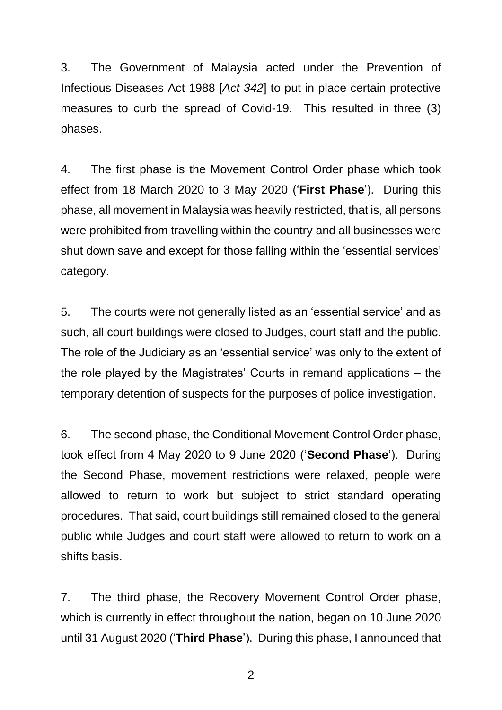3. The Government of Malaysia acted under the Prevention of Infectious Diseases Act 1988 [*Act 342*] to put in place certain protective measures to curb the spread of Covid-19. This resulted in three (3) phases.

4. The first phase is the Movement Control Order phase which took effect from 18 March 2020 to 3 May 2020 ('**First Phase**'). During this phase, all movement in Malaysia was heavily restricted, that is, all persons were prohibited from travelling within the country and all businesses were shut down save and except for those falling within the 'essential services' category.

5. The courts were not generally listed as an 'essential service' and as such, all court buildings were closed to Judges, court staff and the public. The role of the Judiciary as an 'essential service' was only to the extent of the role played by the Magistrates' Courts in remand applications – the temporary detention of suspects for the purposes of police investigation.

6. The second phase, the Conditional Movement Control Order phase, took effect from 4 May 2020 to 9 June 2020 ('**Second Phase**'). During the Second Phase, movement restrictions were relaxed, people were allowed to return to work but subject to strict standard operating procedures. That said, court buildings still remained closed to the general public while Judges and court staff were allowed to return to work on a shifts basis.

7. The third phase, the Recovery Movement Control Order phase, which is currently in effect throughout the nation, began on 10 June 2020 until 31 August 2020 ('**Third Phase**'). During this phase, I announced that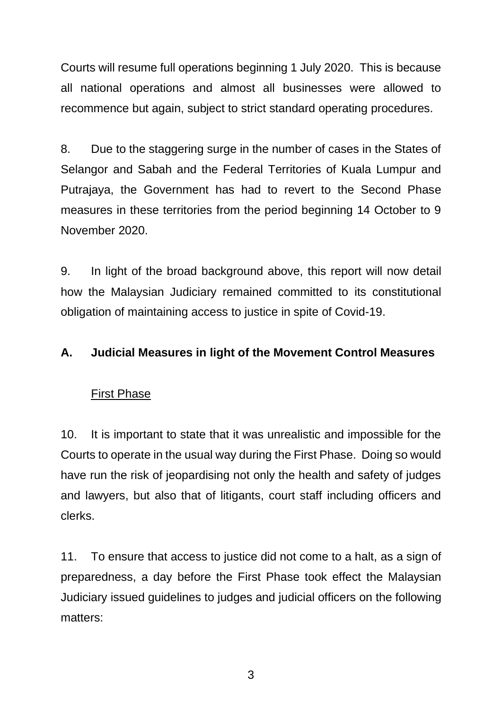Courts will resume full operations beginning 1 July 2020. This is because all national operations and almost all businesses were allowed to recommence but again, subject to strict standard operating procedures.

8. Due to the staggering surge in the number of cases in the States of Selangor and Sabah and the Federal Territories of Kuala Lumpur and Putrajaya, the Government has had to revert to the Second Phase measures in these territories from the period beginning 14 October to 9 November 2020.

9. In light of the broad background above, this report will now detail how the Malaysian Judiciary remained committed to its constitutional obligation of maintaining access to justice in spite of Covid-19.

## **A. Judicial Measures in light of the Movement Control Measures**

#### First Phase

10. It is important to state that it was unrealistic and impossible for the Courts to operate in the usual way during the First Phase. Doing so would have run the risk of jeopardising not only the health and safety of judges and lawyers, but also that of litigants, court staff including officers and clerks.

11. To ensure that access to justice did not come to a halt, as a sign of preparedness, a day before the First Phase took effect the Malaysian Judiciary issued guidelines to judges and judicial officers on the following matters: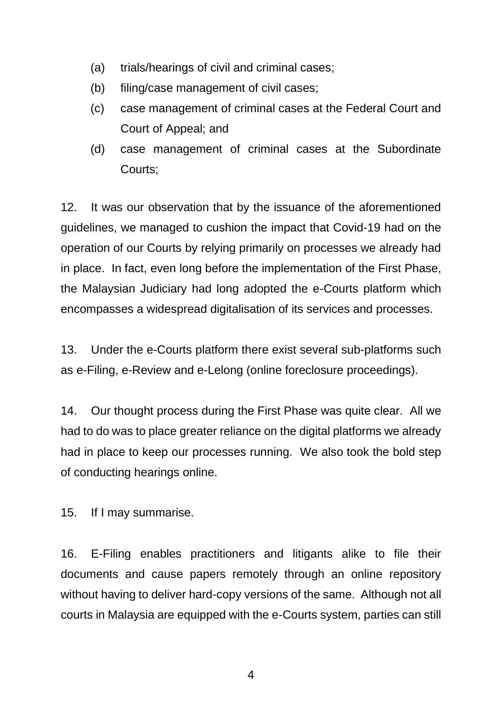- (a) trials/hearings of civil and criminal cases;
- (b) filing/case management of civil cases;
- (c) case management of criminal cases at the Federal Court and Court of Appeal; and
- (d) case management of criminal cases at the Subordinate Courts;

12. It was our observation that by the issuance of the aforementioned guidelines, we managed to cushion the impact that Covid-19 had on the operation of our Courts by relying primarily on processes we already had in place. In fact, even long before the implementation of the First Phase, the Malaysian Judiciary had long adopted the e-Courts platform which encompasses a widespread digitalisation of its services and processes.

13. Under the e-Courts platform there exist several sub-platforms such as e-Filing, e-Review and e-Lelong (online foreclosure proceedings).

14. Our thought process during the First Phase was quite clear. All we had to do was to place greater reliance on the digital platforms we already had in place to keep our processes running. We also took the bold step of conducting hearings online.

15. If I may summarise.

16. E-Filing enables practitioners and litigants alike to file their documents and cause papers remotely through an online repository without having to deliver hard-copy versions of the same. Although not all courts in Malaysia are equipped with the e-Courts system, parties can still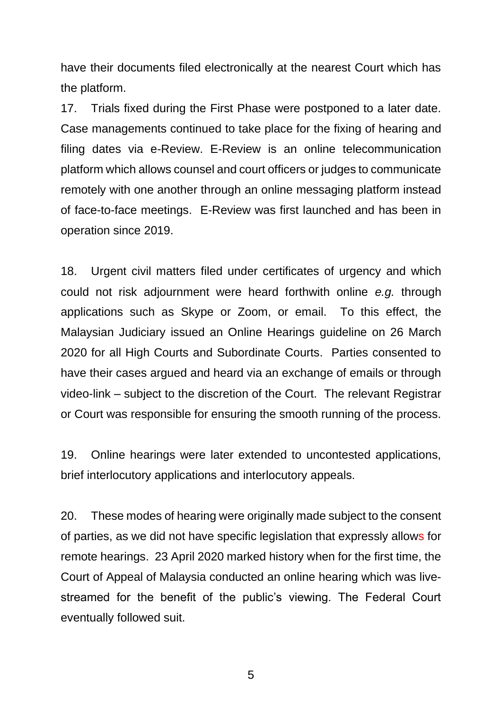have their documents filed electronically at the nearest Court which has the platform.

17. Trials fixed during the First Phase were postponed to a later date. Case managements continued to take place for the fixing of hearing and filing dates via e-Review. E-Review is an online telecommunication platform which allows counsel and court officers or judges to communicate remotely with one another through an online messaging platform instead of face-to-face meetings. E-Review was first launched and has been in operation since 2019.

18. Urgent civil matters filed under certificates of urgency and which could not risk adjournment were heard forthwith online *e.g.* through applications such as Skype or Zoom, or email. To this effect, the Malaysian Judiciary issued an Online Hearings guideline on 26 March 2020 for all High Courts and Subordinate Courts. Parties consented to have their cases argued and heard via an exchange of emails or through video-link – subject to the discretion of the Court. The relevant Registrar or Court was responsible for ensuring the smooth running of the process.

19. Online hearings were later extended to uncontested applications, brief interlocutory applications and interlocutory appeals.

20. These modes of hearing were originally made subject to the consent of parties, as we did not have specific legislation that expressly allows for remote hearings. 23 April 2020 marked history when for the first time, the Court of Appeal of Malaysia conducted an online hearing which was livestreamed for the benefit of the public's viewing. The Federal Court eventually followed suit.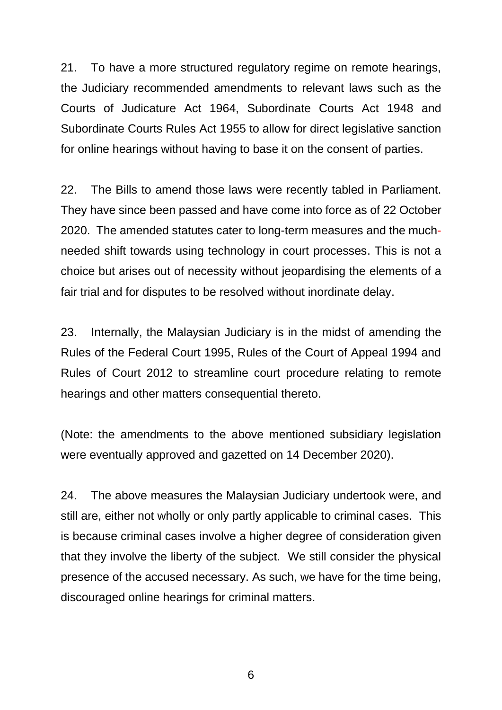21. To have a more structured regulatory regime on remote hearings, the Judiciary recommended amendments to relevant laws such as the Courts of Judicature Act 1964, Subordinate Courts Act 1948 and Subordinate Courts Rules Act 1955 to allow for direct legislative sanction for online hearings without having to base it on the consent of parties.

22. The Bills to amend those laws were recently tabled in Parliament. They have since been passed and have come into force as of 22 October 2020. The amended statutes cater to long-term measures and the muchneeded shift towards using technology in court processes. This is not a choice but arises out of necessity without jeopardising the elements of a fair trial and for disputes to be resolved without inordinate delay.

23. Internally, the Malaysian Judiciary is in the midst of amending the Rules of the Federal Court 1995, Rules of the Court of Appeal 1994 and Rules of Court 2012 to streamline court procedure relating to remote hearings and other matters consequential thereto.

(Note: the amendments to the above mentioned subsidiary legislation were eventually approved and gazetted on 14 December 2020).

24. The above measures the Malaysian Judiciary undertook were, and still are, either not wholly or only partly applicable to criminal cases. This is because criminal cases involve a higher degree of consideration given that they involve the liberty of the subject. We still consider the physical presence of the accused necessary. As such, we have for the time being, discouraged online hearings for criminal matters.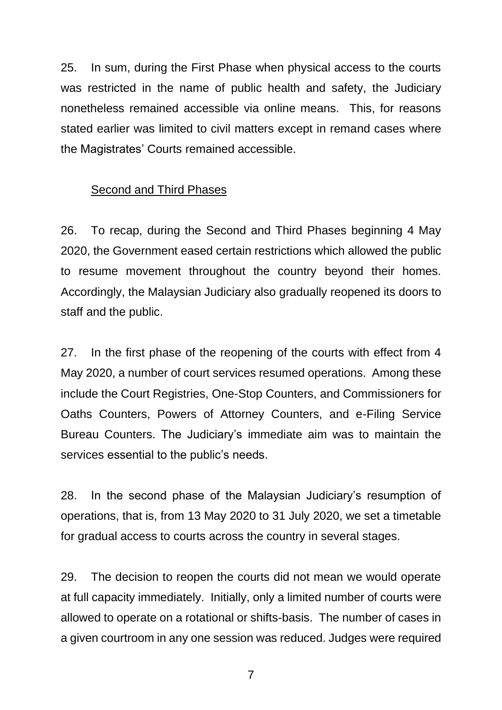25. In sum, during the First Phase when physical access to the courts was restricted in the name of public health and safety, the Judiciary nonetheless remained accessible via online means. This, for reasons stated earlier was limited to civil matters except in remand cases where the Magistrates' Courts remained accessible.

#### Second and Third Phases

26. To recap, during the Second and Third Phases beginning 4 May 2020, the Government eased certain restrictions which allowed the public to resume movement throughout the country beyond their homes. Accordingly, the Malaysian Judiciary also gradually reopened its doors to staff and the public.

27. In the first phase of the reopening of the courts with effect from 4 May 2020, a number of court services resumed operations. Among these include the Court Registries, One-Stop Counters, and Commissioners for Oaths Counters, Powers of Attorney Counters, and e-Filing Service Bureau Counters. The Judiciary's immediate aim was to maintain the services essential to the public's needs.

28. In the second phase of the Malaysian Judiciary's resumption of operations, that is, from 13 May 2020 to 31 July 2020, we set a timetable for gradual access to courts across the country in several stages.

29. The decision to reopen the courts did not mean we would operate at full capacity immediately. Initially, only a limited number of courts were allowed to operate on a rotational or shifts-basis. The number of cases in a given courtroom in any one session was reduced. Judges were required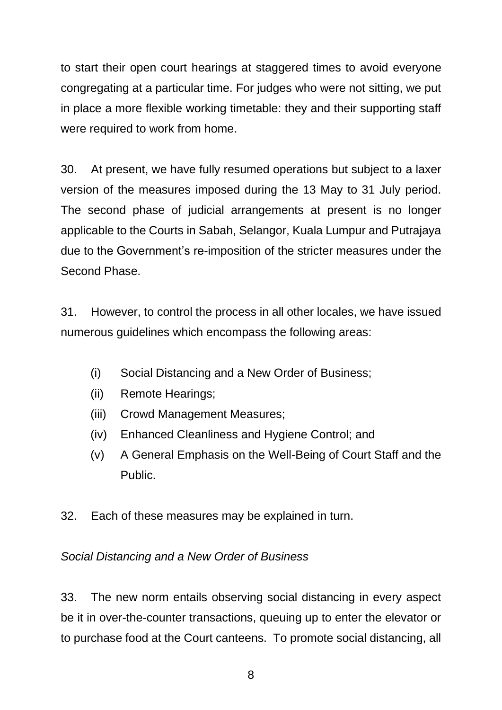to start their open court hearings at staggered times to avoid everyone congregating at a particular time. For judges who were not sitting, we put in place a more flexible working timetable: they and their supporting staff were required to work from home.

30. At present, we have fully resumed operations but subject to a laxer version of the measures imposed during the 13 May to 31 July period. The second phase of judicial arrangements at present is no longer applicable to the Courts in Sabah, Selangor, Kuala Lumpur and Putrajaya due to the Government's re-imposition of the stricter measures under the Second Phase.

31. However, to control the process in all other locales, we have issued numerous guidelines which encompass the following areas:

- (i) Social Distancing and a New Order of Business;
- (ii) Remote Hearings;
- (iii) Crowd Management Measures;
- (iv) Enhanced Cleanliness and Hygiene Control; and
- (v) A General Emphasis on the Well-Being of Court Staff and the Public.
- 32. Each of these measures may be explained in turn.

# *Social Distancing and a New Order of Business*

33. The new norm entails observing social distancing in every aspect be it in over-the-counter transactions, queuing up to enter the elevator or to purchase food at the Court canteens. To promote social distancing, all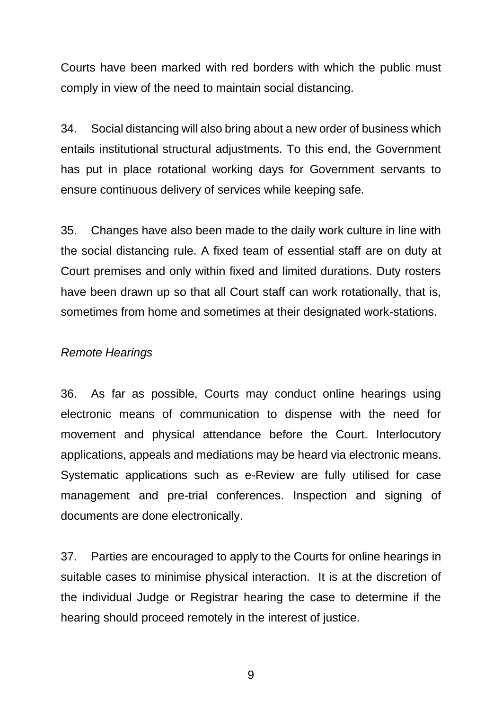Courts have been marked with red borders with which the public must comply in view of the need to maintain social distancing.

34. Social distancing will also bring about a new order of business which entails institutional structural adjustments. To this end, the Government has put in place rotational working days for Government servants to ensure continuous delivery of services while keeping safe.

35. Changes have also been made to the daily work culture in line with the social distancing rule. A fixed team of essential staff are on duty at Court premises and only within fixed and limited durations. Duty rosters have been drawn up so that all Court staff can work rotationally, that is, sometimes from home and sometimes at their designated work-stations.

#### *Remote Hearings*

36. As far as possible, Courts may conduct online hearings using electronic means of communication to dispense with the need for movement and physical attendance before the Court. Interlocutory applications, appeals and mediations may be heard via electronic means. Systematic applications such as e-Review are fully utilised for case management and pre-trial conferences. Inspection and signing of documents are done electronically.

37. Parties are encouraged to apply to the Courts for online hearings in suitable cases to minimise physical interaction. It is at the discretion of the individual Judge or Registrar hearing the case to determine if the hearing should proceed remotely in the interest of justice.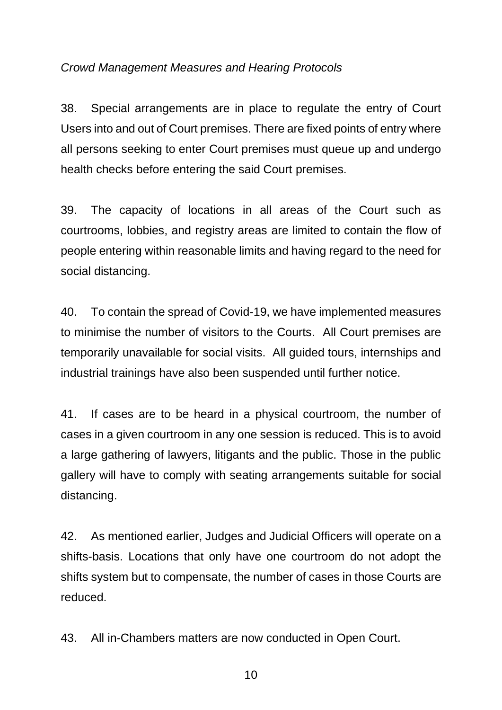#### *Crowd Management Measures and Hearing Protocols*

38. Special arrangements are in place to regulate the entry of Court Users into and out of Court premises. There are fixed points of entry where all persons seeking to enter Court premises must queue up and undergo health checks before entering the said Court premises.

39. The capacity of locations in all areas of the Court such as courtrooms, lobbies, and registry areas are limited to contain the flow of people entering within reasonable limits and having regard to the need for social distancing.

40. To contain the spread of Covid-19, we have implemented measures to minimise the number of visitors to the Courts. All Court premises are temporarily unavailable for social visits. All guided tours, internships and industrial trainings have also been suspended until further notice.

41. If cases are to be heard in a physical courtroom, the number of cases in a given courtroom in any one session is reduced. This is to avoid a large gathering of lawyers, litigants and the public. Those in the public gallery will have to comply with seating arrangements suitable for social distancing.

42. As mentioned earlier, Judges and Judicial Officers will operate on a shifts-basis. Locations that only have one courtroom do not adopt the shifts system but to compensate, the number of cases in those Courts are reduced.

43. All in-Chambers matters are now conducted in Open Court.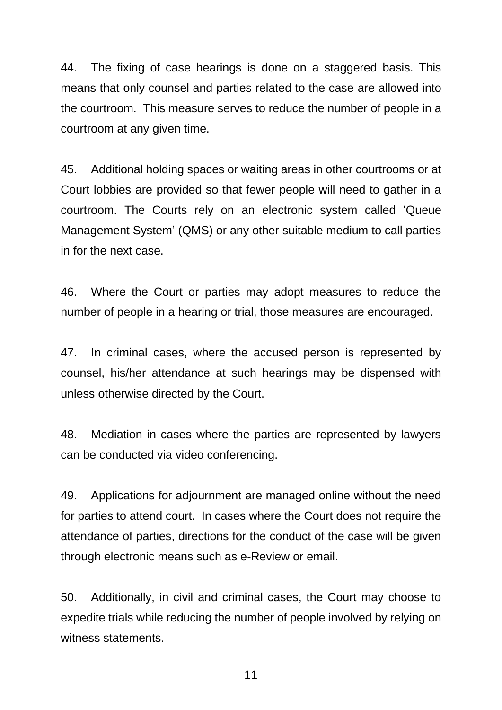44. The fixing of case hearings is done on a staggered basis. This means that only counsel and parties related to the case are allowed into the courtroom. This measure serves to reduce the number of people in a courtroom at any given time.

45. Additional holding spaces or waiting areas in other courtrooms or at Court lobbies are provided so that fewer people will need to gather in a courtroom. The Courts rely on an electronic system called 'Queue Management System' (QMS) or any other suitable medium to call parties in for the next case.

46. Where the Court or parties may adopt measures to reduce the number of people in a hearing or trial, those measures are encouraged.

47. In criminal cases, where the accused person is represented by counsel, his/her attendance at such hearings may be dispensed with unless otherwise directed by the Court.

48. Mediation in cases where the parties are represented by lawyers can be conducted via video conferencing.

49. Applications for adjournment are managed online without the need for parties to attend court. In cases where the Court does not require the attendance of parties, directions for the conduct of the case will be given through electronic means such as e-Review or email.

50. Additionally, in civil and criminal cases, the Court may choose to expedite trials while reducing the number of people involved by relying on witness statements.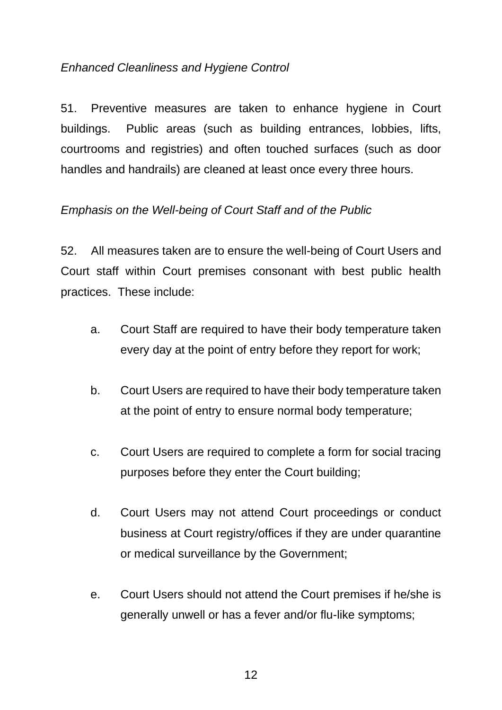# *Enhanced Cleanliness and Hygiene Control*

51. Preventive measures are taken to enhance hygiene in Court buildings. Public areas (such as building entrances, lobbies, lifts, courtrooms and registries) and often touched surfaces (such as door handles and handrails) are cleaned at least once every three hours.

#### *Emphasis on the Well-being of Court Staff and of the Public*

52. All measures taken are to ensure the well-being of Court Users and Court staff within Court premises consonant with best public health practices. These include:

- a. Court Staff are required to have their body temperature taken every day at the point of entry before they report for work;
- b. Court Users are required to have their body temperature taken at the point of entry to ensure normal body temperature;
- c. Court Users are required to complete a form for social tracing purposes before they enter the Court building;
- d. Court Users may not attend Court proceedings or conduct business at Court registry/offices if they are under quarantine or medical surveillance by the Government;
- e. Court Users should not attend the Court premises if he/she is generally unwell or has a fever and/or flu-like symptoms;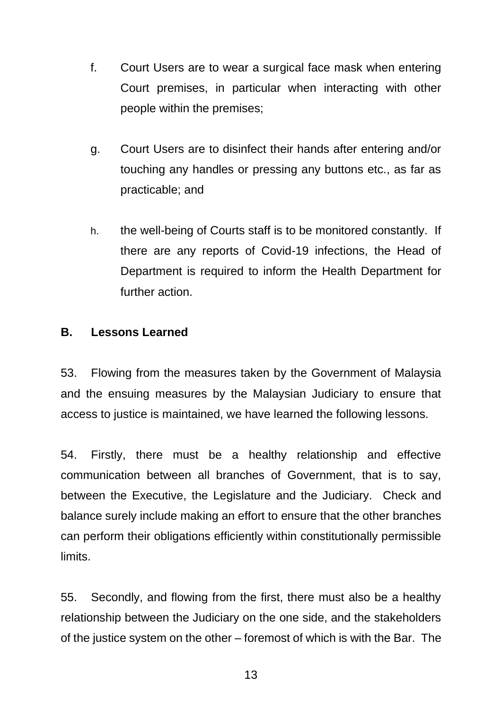- f. Court Users are to wear a surgical face mask when entering Court premises, in particular when interacting with other people within the premises;
- g. Court Users are to disinfect their hands after entering and/or touching any handles or pressing any buttons etc., as far as practicable; and
- h. the well-being of Courts staff is to be monitored constantly. If there are any reports of Covid-19 infections, the Head of Department is required to inform the Health Department for further action.

#### **B. Lessons Learned**

53. Flowing from the measures taken by the Government of Malaysia and the ensuing measures by the Malaysian Judiciary to ensure that access to justice is maintained, we have learned the following lessons.

54. Firstly, there must be a healthy relationship and effective communication between all branches of Government, that is to say, between the Executive, the Legislature and the Judiciary. Check and balance surely include making an effort to ensure that the other branches can perform their obligations efficiently within constitutionally permissible limits.

55. Secondly, and flowing from the first, there must also be a healthy relationship between the Judiciary on the one side, and the stakeholders of the justice system on the other – foremost of which is with the Bar. The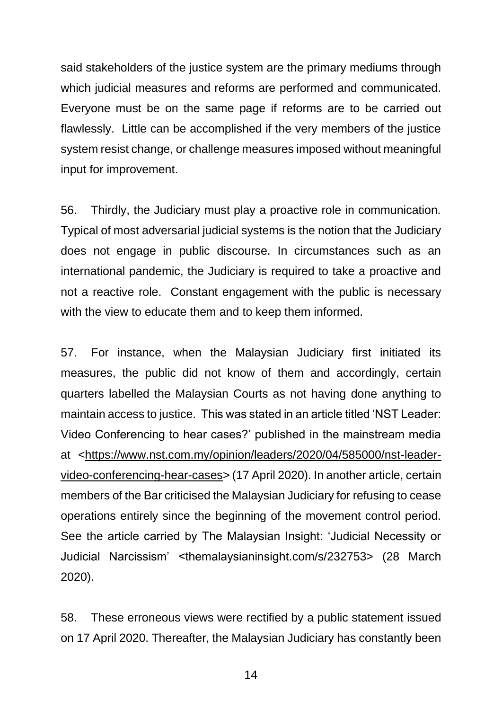said stakeholders of the justice system are the primary mediums through which judicial measures and reforms are performed and communicated. Everyone must be on the same page if reforms are to be carried out flawlessly. Little can be accomplished if the very members of the justice system resist change, or challenge measures imposed without meaningful input for improvement.

56. Thirdly, the Judiciary must play a proactive role in communication. Typical of most adversarial judicial systems is the notion that the Judiciary does not engage in public discourse. In circumstances such as an international pandemic, the Judiciary is required to take a proactive and not a reactive role. Constant engagement with the public is necessary with the view to educate them and to keep them informed.

57. For instance, when the Malaysian Judiciary first initiated its measures, the public did not know of them and accordingly, certain quarters labelled the Malaysian Courts as not having done anything to maintain access to justice. This was stated in an article titled 'NST Leader: Video Conferencing to hear cases?' published in the mainstream media at [<https://www.nst.com.my/opinion/leaders/2020/04/585000/nst-leader](https://www.nst.com.my/opinion/leaders/2020/04/585000/nst-leader-video-conferencing-hear-cases)[video-conferencing-hear-cases>](https://www.nst.com.my/opinion/leaders/2020/04/585000/nst-leader-video-conferencing-hear-cases) (17 April 2020). In another article, certain members of the Bar criticised the Malaysian Judiciary for refusing to cease operations entirely since the beginning of the movement control period. See the article carried by The Malaysian Insight: 'Judicial Necessity or Judicial Narcissism' <themalaysianinsight.com/s/232753> (28 March 2020).

58. These erroneous views were rectified by a public statement issued on 17 April 2020. Thereafter, the Malaysian Judiciary has constantly been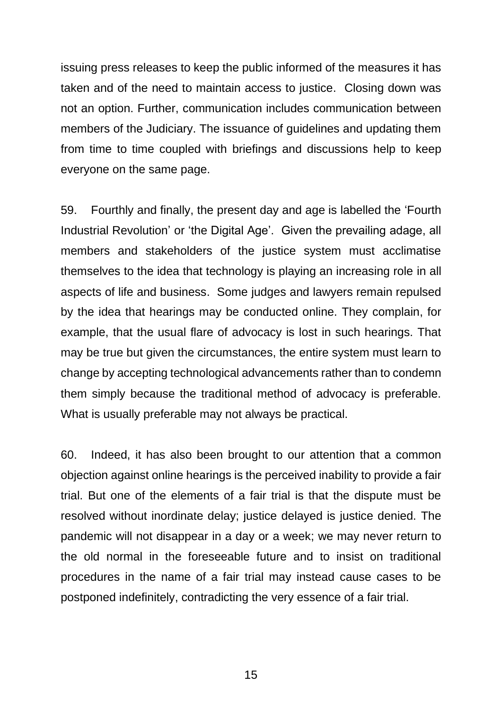issuing press releases to keep the public informed of the measures it has taken and of the need to maintain access to justice. Closing down was not an option. Further, communication includes communication between members of the Judiciary. The issuance of guidelines and updating them from time to time coupled with briefings and discussions help to keep everyone on the same page.

59. Fourthly and finally, the present day and age is labelled the 'Fourth Industrial Revolution' or 'the Digital Age'. Given the prevailing adage, all members and stakeholders of the justice system must acclimatise themselves to the idea that technology is playing an increasing role in all aspects of life and business. Some judges and lawyers remain repulsed by the idea that hearings may be conducted online. They complain, for example, that the usual flare of advocacy is lost in such hearings. That may be true but given the circumstances, the entire system must learn to change by accepting technological advancements rather than to condemn them simply because the traditional method of advocacy is preferable. What is usually preferable may not always be practical.

60. Indeed, it has also been brought to our attention that a common objection against online hearings is the perceived inability to provide a fair trial. But one of the elements of a fair trial is that the dispute must be resolved without inordinate delay; justice delayed is justice denied. The pandemic will not disappear in a day or a week; we may never return to the old normal in the foreseeable future and to insist on traditional procedures in the name of a fair trial may instead cause cases to be postponed indefinitely, contradicting the very essence of a fair trial.